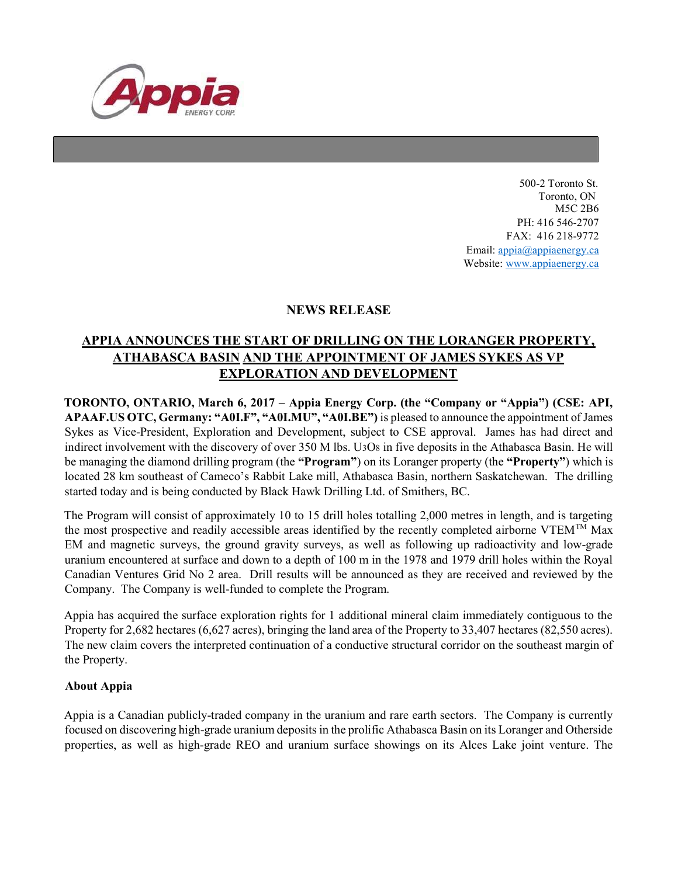

500-2 Toronto St. Toronto, ON M5C 2B6 PH: 416 546-2707 FAX: 416 218-9772 Email: appia@appiaenergy.ca Website: www.appiaenergy.ca

## NEWS RELEASE

## APPIA ANNOUNCES THE START OF DRILLING ON THE LORANGER PROPERTY, ATHABASCA BASIN AND THE APPOINTMENT OF JAMES SYKES AS VP EXPLORATION AND DEVELOPMENT

TORONTO, ONTARIO, March 6, 2017 – Appia Energy Corp. (the "Company or "Appia") (CSE: API, APAAF.US OTC, Germany: "A0I.F", "A0I.MU", "A0I.BE") is pleased to announce the appointment of James Sykes as Vice-President, Exploration and Development, subject to CSE approval. James has had direct and indirect involvement with the discovery of over 350 M lbs. U3O8 in five deposits in the Athabasca Basin. He will be managing the diamond drilling program (the "Program") on its Loranger property (the "Property") which is located 28 km southeast of Cameco's Rabbit Lake mill, Athabasca Basin, northern Saskatchewan. The drilling started today and is being conducted by Black Hawk Drilling Ltd. of Smithers, BC.

The Program will consist of approximately 10 to 15 drill holes totalling 2,000 metres in length, and is targeting the most prospective and readily accessible areas identified by the recently completed airborne VTEMTM Max EM and magnetic surveys, the ground gravity surveys, as well as following up radioactivity and low-grade uranium encountered at surface and down to a depth of 100 m in the 1978 and 1979 drill holes within the Royal Canadian Ventures Grid No 2 area. Drill results will be announced as they are received and reviewed by the Company. The Company is well-funded to complete the Program.

Appia has acquired the surface exploration rights for 1 additional mineral claim immediately contiguous to the Property for 2,682 hectares (6,627 acres), bringing the land area of the Property to 33,407 hectares (82,550 acres). The new claim covers the interpreted continuation of a conductive structural corridor on the southeast margin of the Property.

## About Appia

Appia is a Canadian publicly-traded company in the uranium and rare earth sectors. The Company is currently focused on discovering high-grade uranium deposits in the prolific Athabasca Basin on its Loranger and Otherside properties, as well as high-grade REO and uranium surface showings on its Alces Lake joint venture. The